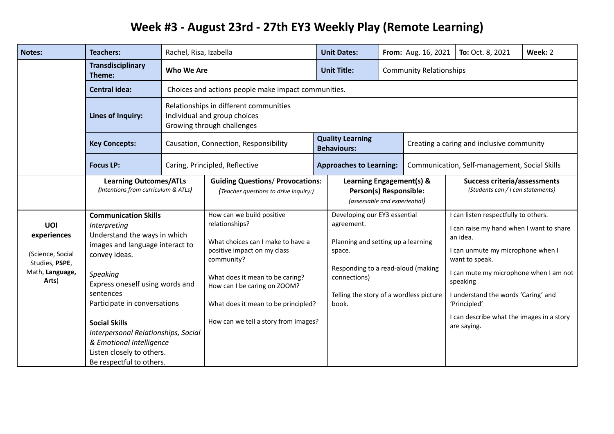## **Week #3 - August 23rd - 27th EY3 Weekly Play (Remote Learning)**

| <b>Notes:</b>                                                                        | <b>Teachers:</b>                                                                                                                                                                                                                                                                                                                                                                | Rachel, Risa, Izabella                              |                                                                                                                                                                                                                                                                                 |  | <b>Unit Dates:</b>                                                                                                                                                                                   |  | From: Aug. 16, 2021                       | To: Oct. 8, 2021                                                                                                                                                                                                                                                                                                             | Week: 2 |  |
|--------------------------------------------------------------------------------------|---------------------------------------------------------------------------------------------------------------------------------------------------------------------------------------------------------------------------------------------------------------------------------------------------------------------------------------------------------------------------------|-----------------------------------------------------|---------------------------------------------------------------------------------------------------------------------------------------------------------------------------------------------------------------------------------------------------------------------------------|--|------------------------------------------------------------------------------------------------------------------------------------------------------------------------------------------------------|--|-------------------------------------------|------------------------------------------------------------------------------------------------------------------------------------------------------------------------------------------------------------------------------------------------------------------------------------------------------------------------------|---------|--|
|                                                                                      | <b>Transdisciplinary</b><br>Theme:                                                                                                                                                                                                                                                                                                                                              | Who We Are                                          |                                                                                                                                                                                                                                                                                 |  | <b>Unit Title:</b>                                                                                                                                                                                   |  | <b>Community Relationships</b>            |                                                                                                                                                                                                                                                                                                                              |         |  |
|                                                                                      | <b>Central idea:</b>                                                                                                                                                                                                                                                                                                                                                            | Choices and actions people make impact communities. |                                                                                                                                                                                                                                                                                 |  |                                                                                                                                                                                                      |  |                                           |                                                                                                                                                                                                                                                                                                                              |         |  |
|                                                                                      | Lines of Inquiry:                                                                                                                                                                                                                                                                                                                                                               |                                                     | Relationships in different communities<br>Individual and group choices<br>Growing through challenges                                                                                                                                                                            |  |                                                                                                                                                                                                      |  |                                           |                                                                                                                                                                                                                                                                                                                              |         |  |
|                                                                                      | <b>Key Concepts:</b>                                                                                                                                                                                                                                                                                                                                                            | Causation, Connection, Responsibility               |                                                                                                                                                                                                                                                                                 |  | <b>Quality Learning</b><br><b>Behaviours:</b>                                                                                                                                                        |  | Creating a caring and inclusive community |                                                                                                                                                                                                                                                                                                                              |         |  |
|                                                                                      | <b>Focus LP:</b>                                                                                                                                                                                                                                                                                                                                                                |                                                     | Caring, Principled, Reflective                                                                                                                                                                                                                                                  |  | <b>Approaches to Learning:</b>                                                                                                                                                                       |  |                                           | Communication, Self-management, Social Skills                                                                                                                                                                                                                                                                                |         |  |
|                                                                                      | <b>Learning Outcomes/ATLs</b><br>(Intentions from curriculum & ATLs)                                                                                                                                                                                                                                                                                                            |                                                     | <b>Guiding Questions/ Provocations:</b><br>(Teacher questions to drive inquiry:)                                                                                                                                                                                                |  | Learning Engagement(s) &<br>Person(s) Responsible:<br>(assessable and experiential)                                                                                                                  |  |                                           | <b>Success criteria/assessments</b><br>(Students can / I can statements)                                                                                                                                                                                                                                                     |         |  |
| UOI<br>experiences<br>(Science, Social<br>Studies, PSPE,<br>Math, Language,<br>Arts) | <b>Communication Skills</b><br>Interpreting<br>Understand the ways in which<br>images and language interact to<br>convey ideas.<br>Speaking<br>Express oneself using words and<br>sentences<br>Participate in conversations<br><b>Social Skills</b><br>Interpersonal Relationships, Social<br>& Emotional Intelligence<br>Listen closely to others.<br>Be respectful to others. |                                                     | How can we build positive<br>relationships?<br>What choices can I make to have a<br>positive impact on my class<br>community?<br>What does it mean to be caring?<br>How can I be caring on ZOOM?<br>What does it mean to be principled?<br>How can we tell a story from images? |  | Developing our EY3 essential<br>agreement.<br>Planning and setting up a learning<br>space.<br>Responding to a read-aloud (making<br>connections)<br>Telling the story of a wordless picture<br>book. |  |                                           | I can listen respectfully to others.<br>I can raise my hand when I want to share<br>an idea.<br>I can unmute my microphone when I<br>want to speak.<br>I can mute my microphone when I am not<br>speaking<br>I understand the words 'Caring' and<br>'Principled'<br>I can describe what the images in a story<br>are saying. |         |  |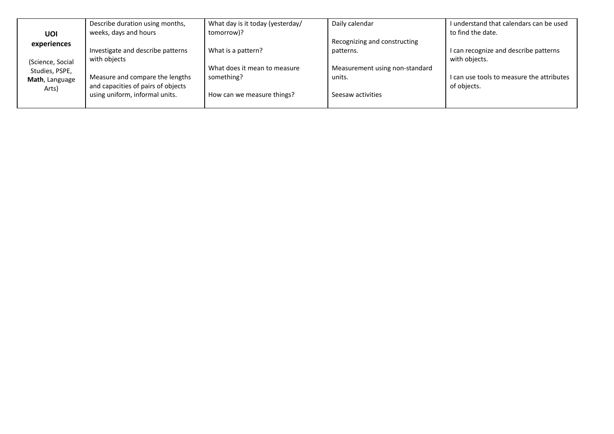|                  | Describe duration using months,    | What day is it today (yesterday/ | Daily calendar                 | I understand that calendars can be used   |
|------------------|------------------------------------|----------------------------------|--------------------------------|-------------------------------------------|
| UOI              | weeks, days and hours              | tomorrow)?                       |                                | to find the date.                         |
| experiences      |                                    |                                  | Recognizing and constructing   |                                           |
|                  | Investigate and describe patterns  | What is a pattern?               | patterns.                      | I can recognize and describe patterns     |
| (Science, Social | with objects                       |                                  |                                | with objects.                             |
| Studies, PSPE,   |                                    | What does it mean to measure     | Measurement using non-standard |                                           |
| Math, Language   | Measure and compare the lengths    | something?                       | units.                         | I can use tools to measure the attributes |
| Arts)            | and capacities of pairs of objects |                                  |                                | of objects.                               |
|                  | using uniform, informal units.     | How can we measure things?       | Seesaw activities              |                                           |
|                  |                                    |                                  |                                |                                           |